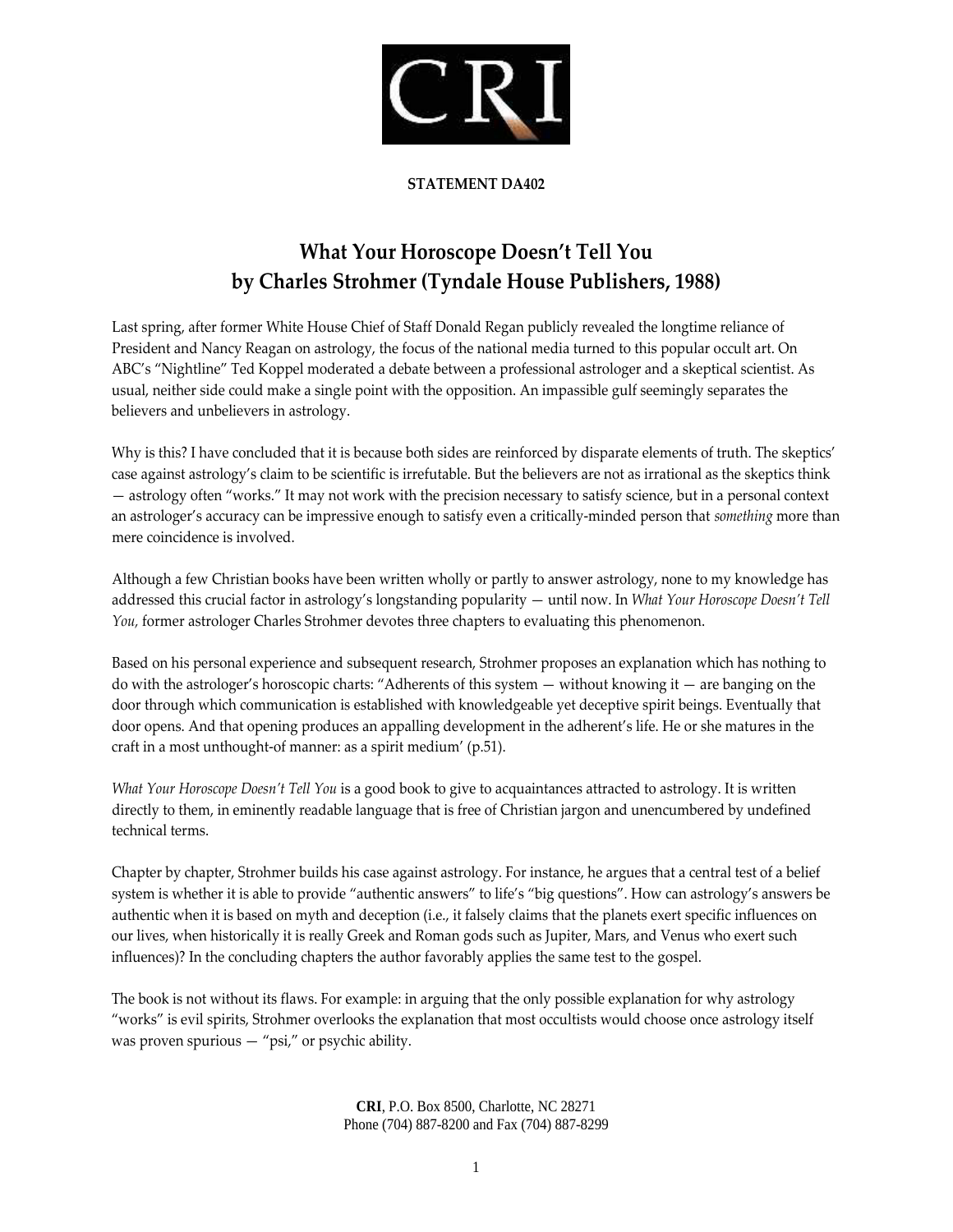

## **STATEMENT DA402**

## **What Your Horoscope Doesn't Tell You by Charles Strohmer (Tyndale House Publishers, 1988)**

Last spring, after former White House Chief of Staff Donald Regan publicly revealed the longtime reliance of President and Nancy Reagan on astrology, the focus of the national media turned to this popular occult art. On ABC's "Nightline" Ted Koppel moderated a debate between a professional astrologer and a skeptical scientist. As usual, neither side could make a single point with the opposition. An impassible gulf seemingly separates the believers and unbelievers in astrology.

Why is this? I have concluded that it is because both sides are reinforced by disparate elements of truth. The skeptics' case against astrology's claim to be scientific is irrefutable. But the believers are not as irrational as the skeptics think — astrology often "works." It may not work with the precision necessary to satisfy science, but in a personal context an astrologer's accuracy can be impressive enough to satisfy even a critically‐minded person that *something* more than mere coincidence is involved.

Although a few Christian books have been written wholly or partly to answer astrology, none to my knowledge has addressed this crucial factor in astrology's longstanding popularity — until now. In *What Your Horoscope Doesn't Tell You,* former astrologer Charles Strohmer devotes three chapters to evaluating this phenomenon.

Based on his personal experience and subsequent research, Strohmer proposes an explanation which has nothing to do with the astrologer's horoscopic charts: "Adherents of this system — without knowing it — are banging on the door through which communication is established with knowledgeable yet deceptive spirit beings. Eventually that door opens. And that opening produces an appalling development in the adherent's life. He or she matures in the craft in a most unthought‐of manner: as a spirit medium' (p.51).

*What Your Horoscope Doesn't Tell You* is a good book to give to acquaintances attracted to astrology. It is written directly to them, in eminently readable language that is free of Christian jargon and unencumbered by undefined technical terms.

Chapter by chapter, Strohmer builds his case against astrology. For instance, he argues that a central test of a belief system is whether it is able to provide "authentic answers" to life's "big questions". How can astrology's answers be authentic when it is based on myth and deception (i.e., it falsely claims that the planets exert specific influences on our lives, when historically it is really Greek and Roman gods such as Jupiter, Mars, and Venus who exert such influences)? In the concluding chapters the author favorably applies the same test to the gospel.

The book is not without its flaws. For example: in arguing that the only possible explanation for why astrology "works" is evil spirits, Strohmer overlooks the explanation that most occultists would choose once astrology itself was proven spurious — "psi," or psychic ability.

> **CRI**, P.O. Box 8500, Charlotte, NC 28271 Phone (704) 887-8200 and Fax (704) 887-8299